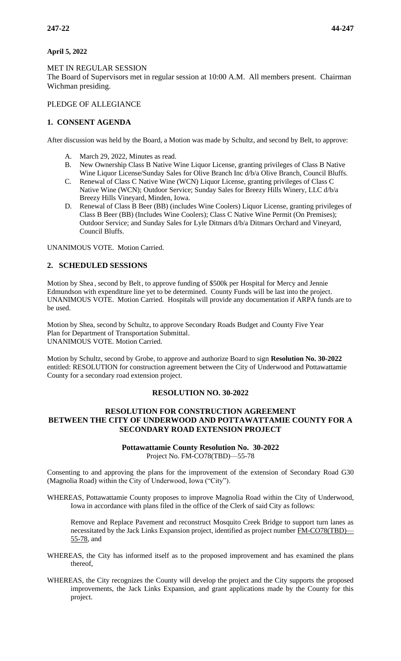#### **April 5, 2022**

#### MET IN REGULAR SESSION

The Board of Supervisors met in regular session at 10:00 A.M. All members present. Chairman Wichman presiding.

# PLEDGE OF ALLEGIANCE

# **1. CONSENT AGENDA**

After discussion was held by the Board, a Motion was made by Schultz, and second by Belt, to approve:

- A. March 29, 2022, Minutes as read.
- B. New Ownership Class B Native Wine Liquor License, granting privileges of Class B Native Wine Liquor License/Sunday Sales for Olive Branch Inc d/b/a Olive Branch, Council Bluffs.
- C. Renewal of Class C Native Wine (WCN) Liquor License, granting privileges of Class C Native Wine (WCN); Outdoor Service; Sunday Sales for Breezy Hills Winery, LLC d/b/a Breezy Hills Vineyard, Minden, Iowa.
- D. Renewal of Class B Beer (BB) (includes Wine Coolers) Liquor License, granting privileges of Class B Beer (BB) (Includes Wine Coolers); Class C Native Wine Permit (On Premises); Outdoor Service; and Sunday Sales for Lyle Ditmars d/b/a Ditmars Orchard and Vineyard, Council Bluffs.

UNANIMOUS VOTE. Motion Carried.

## **2. SCHEDULED SESSIONS**

Motion by Shea , second by Belt, to approve funding of \$500k per Hospital for Mercy and Jennie Edmundson with expenditure line yet to be determined. County Funds will be last into the project. UNANIMOUS VOTE. Motion Carried. Hospitals will provide any documentation if ARPA funds are to be used.

Motion by Shea, second by Schultz, to approve Secondary Roads Budget and County Five Year Plan for Department of Transportation Submittal. UNANIMOUS VOTE. Motion Carried.

Motion by Schultz, second by Grobe, to approve and authorize Board to sign **Resolution No. 30-2022** entitled: RESOLUTION for construction agreement between the City of Underwood and Pottawattamie County for a secondary road extension project.

#### **RESOLUTION NO. 30-2022**

# **RESOLUTION FOR CONSTRUCTION AGREEMENT BETWEEN THE CITY OF UNDERWOOD AND POTTAWATTAMIE COUNTY FOR A SECONDARY ROAD EXTENSION PROJECT**

#### **Pottawattamie County Resolution No. 30-2022** Project No. FM-CO78(TBD)—55-78

Consenting to and approving the plans for the improvement of the extension of Secondary Road G30 (Magnolia Road) within the City of Underwood, Iowa ("City").

WHEREAS, Pottawattamie County proposes to improve Magnolia Road within the City of Underwood, Iowa in accordance with plans filed in the office of the Clerk of said City as follows:

Remove and Replace Pavement and reconstruct Mosquito Creek Bridge to support turn lanes as necessitated by the Jack Links Expansion project, identified as project number FM-CO78(TBD)— 55-78, and

- WHEREAS, the City has informed itself as to the proposed improvement and has examined the plans thereof,
- WHEREAS, the City recognizes the County will develop the project and the City supports the proposed improvements, the Jack Links Expansion, and grant applications made by the County for this project.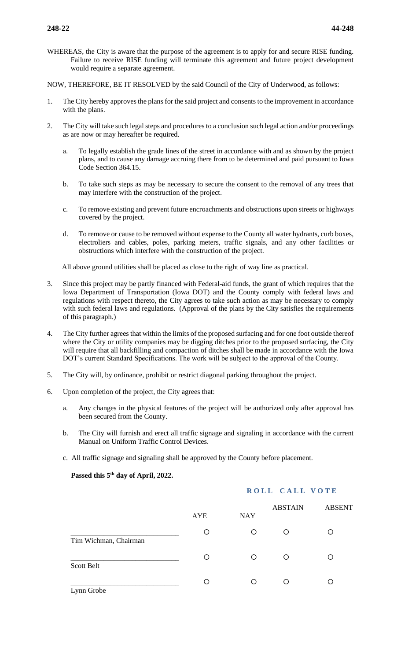WHEREAS, the City is aware that the purpose of the agreement is to apply for and secure RISE funding. Failure to receive RISE funding will terminate this agreement and future project development would require a separate agreement.

NOW, THEREFORE, BE IT RESOLVED by the said Council of the City of Underwood, as follows:

- 1. The City hereby approves the plans for the said project and consents to the improvement in accordance with the plans.
- 2. The City will take such legal steps and procedures to a conclusion such legal action and/or proceedings as are now or may hereafter be required.
	- a. To legally establish the grade lines of the street in accordance with and as shown by the project plans, and to cause any damage accruing there from to be determined and paid pursuant to Iowa Code Section 364.15.
	- b. To take such steps as may be necessary to secure the consent to the removal of any trees that may interfere with the construction of the project.
	- c. To remove existing and prevent future encroachments and obstructions upon streets or highways covered by the project.
	- d. To remove or cause to be removed without expense to the County all water hydrants, curb boxes, electroliers and cables, poles, parking meters, traffic signals, and any other facilities or obstructions which interfere with the construction of the project.

All above ground utilities shall be placed as close to the right of way line as practical.

- 3. Since this project may be partly financed with Federal-aid funds, the grant of which requires that the Iowa Department of Transportation (Iowa DOT) and the County comply with federal laws and regulations with respect thereto, the City agrees to take such action as may be necessary to comply with such federal laws and regulations. (Approval of the plans by the City satisfies the requirements of this paragraph.)
- 4. The City further agrees that within the limits of the proposed surfacing and for one foot outside thereof where the City or utility companies may be digging ditches prior to the proposed surfacing, the City will require that all backfilling and compaction of ditches shall be made in accordance with the Iowa DOT's current Standard Specifications. The work will be subject to the approval of the County.
- 5. The City will, by ordinance, prohibit or restrict diagonal parking throughout the project.
- 6. Upon completion of the project, the City agrees that:
	- a. Any changes in the physical features of the project will be authorized only after approval has been secured from the County.
	- b. The City will furnish and erect all traffic signage and signaling in accordance with the current Manual on Uniform Traffic Control Devices.
	- c. All traffic signage and signaling shall be approved by the County before placement.

## **Passed this 5th day of April, 2022.**

## **ROLL CALL VOTE**

|                       | AYE | <b>NAY</b> | <b>ABSTAIN</b> | <b>ABSENT</b> |
|-----------------------|-----|------------|----------------|---------------|
| Tim Wichman, Chairman | Ο   | Ο          | O              |               |
| Scott Belt            |     | Ω          | Ω              |               |
| Lynn Grobe            |     | ∩          | ∩              |               |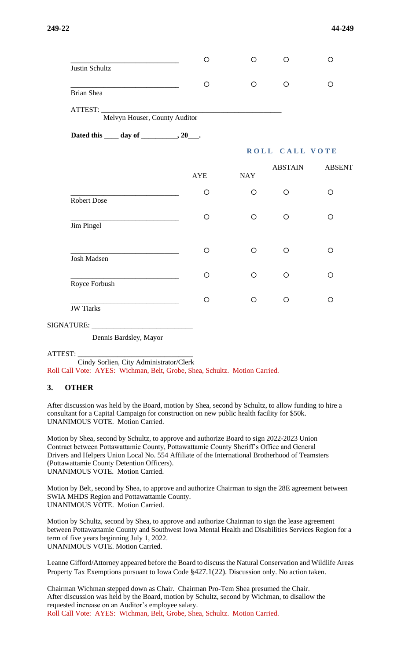|                                              | $\circ$    | $\circ$        | O              | O             |
|----------------------------------------------|------------|----------------|----------------|---------------|
| Justin Schultz                               |            |                |                |               |
|                                              | $\circ$    | $\circ$        | $\circ$        | $\circ$       |
| <b>Brian Shea</b>                            |            |                |                |               |
|                                              |            |                |                |               |
| Melvyn Houser, County Auditor                |            |                |                |               |
| Dated this _____ day of ___________, 20____. |            |                |                |               |
|                                              |            | ROLL CALL VOTE |                |               |
|                                              | <b>AYE</b> | <b>NAY</b>     | <b>ABSTAIN</b> | <b>ABSENT</b> |
| Robert Dose                                  | $\circ$    | $\circ$        | $\circ$        | $\circ$       |
| Jim Pingel                                   | $\bigcirc$ | $\circ$        | $\circ$        | $\circ$       |
| Josh Madsen                                  | $\circ$    | $\circ$        | $\circ$        | $\circ$       |
|                                              | $\circ$    | $\circ$        | $\circ$        | $\circ$       |
| Royce Forbush                                |            |                |                |               |
| <b>JW</b> Tiarks                             | $\circ$    | $\circ$        | $\circ$        | $\circ$       |
|                                              |            |                |                |               |
|                                              |            |                |                |               |

Dennis Bardsley, Mayor

ATTEST: \_\_\_\_\_\_\_\_\_\_\_\_\_\_\_\_\_\_\_\_\_\_\_\_\_\_\_\_\_\_\_\_

 Cindy Sorlien, City Administrator/Clerk Roll Call Vote: AYES: Wichman, Belt, Grobe, Shea, Schultz. Motion Carried.

#### **3. OTHER**

After discussion was held by the Board, motion by Shea, second by Schultz, to allow funding to hire a consultant for a Capital Campaign for construction on new public health facility for \$50k. UNANIMOUS VOTE. Motion Carried.

Motion by Shea, second by Schultz, to approve and authorize Board to sign 2022-2023 Union Contract between Pottawattamie County, Pottawattamie County Sheriff's Office and General Drivers and Helpers Union Local No. 554 Affiliate of the International Brotherhood of Teamsters (Pottawattamie County Detention Officers). UNANIMOUS VOTE. Motion Carried.

Motion by Belt, second by Shea, to approve and authorize Chairman to sign the 28E agreement between SWIA MHDS Region and Pottawattamie County. UNANIMOUS VOTE. Motion Carried.

Motion by Schultz, second by Shea, to approve and authorize Chairman to sign the lease agreement between Pottawattamie County and Southwest Iowa Mental Health and Disabilities Services Region for a term of five years beginning July 1, 2022. UNANIMOUS VOTE. Motion Carried.

Leanne Gifford/Attorney appeared before the Board to discuss the Natural Conservation and Wildlife Areas Property Tax Exemptions pursuant to Iowa Code §427.1(22). Discussion only. No action taken.

Chairman Wichman stepped down as Chair. Chairman Pro-Tem Shea presumed the Chair. After discussion was held by the Board, motion by Schultz, second by Wichman, to disallow the requested increase on an Auditor's employee salary. Roll Call Vote: AYES: Wichman, Belt, Grobe, Shea, Schultz. Motion Carried.